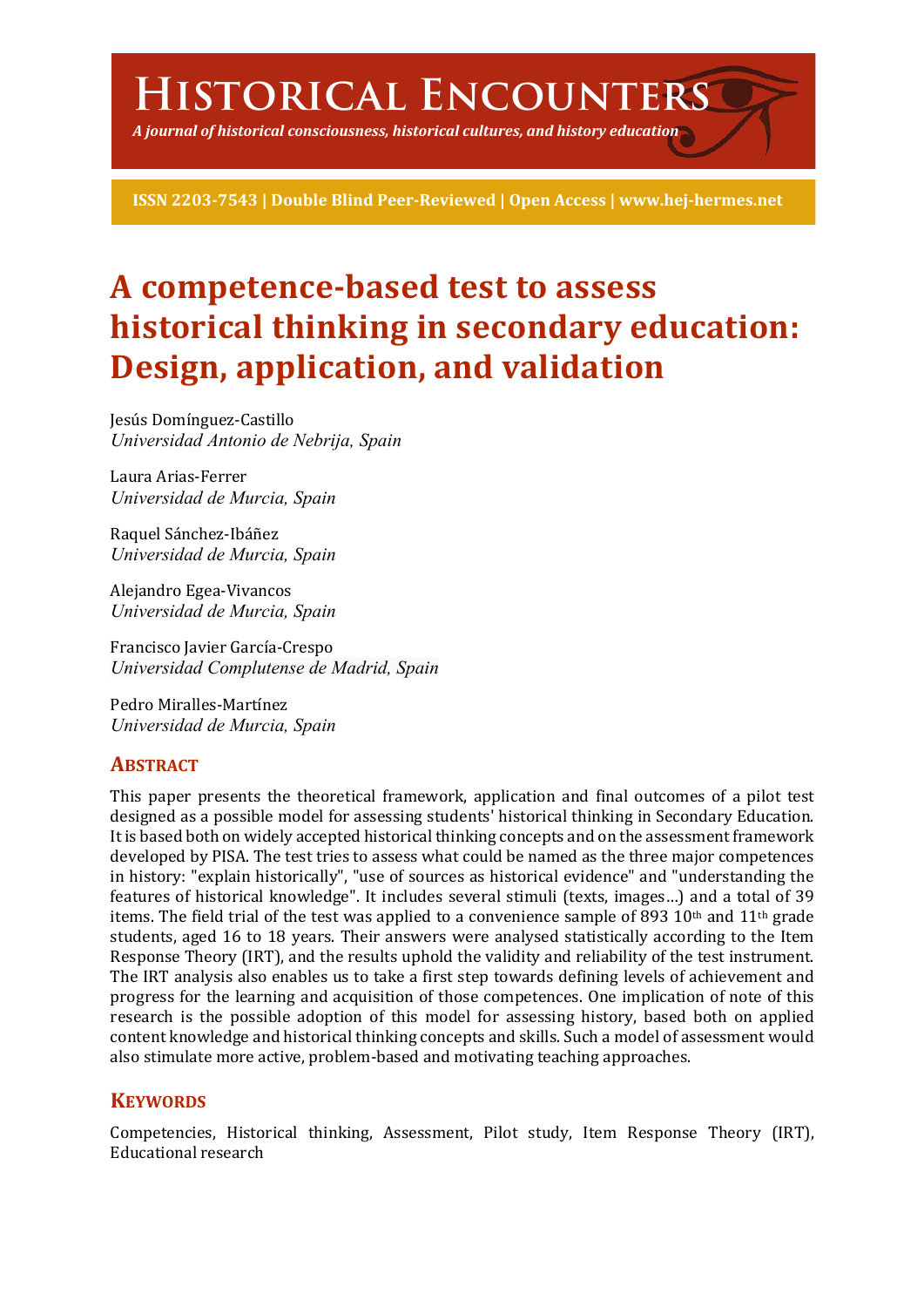# **Historical Encounters**

*A journal of historical consciousness, historical cultures, and history education*

**ISSN 2203-7543 | Double Blind Peer-Reviewed | Open Access | www.hej-hermes.net**

# A competence-based test to assess **historical thinking in secondary education: Design, application, and validation**

Jesús Domínguez-Castillo *Universidad Antonio de Nebrija, Spain*

Laura Arias-Ferrer *Universidad de Murcia, Spain*

Raquel Sánchez-Ibáñez *Universidad de Murcia, Spain*

Alejandro Egea-Vivancos *Universidad de Murcia, Spain*

Francisco Javier García-Crespo *Universidad Complutense de Madrid, Spain*

Pedro Miralles-Martínez *Universidad de Murcia, Spain*

## **ABSTRACT**

This paper presents the theoretical framework, application and final outcomes of a pilot test designed as a possible model for assessing students' historical thinking in Secondary Education. It is based both on widely accepted historical thinking concepts and on the assessment framework developed by PISA. The test tries to assess what could be named as the three major competences in history: "explain historically", "use of sources as historical evidence" and "understanding the features of historical knowledge". It includes several stimuli (texts, images...) and a total of 39 items. The field trial of the test was applied to a convenience sample of 893 10<sup>th</sup> and 11<sup>th</sup> grade students, aged 16 to 18 years. Their answers were analysed statistically according to the Item Response Theory (IRT), and the results uphold the validity and reliability of the test instrument. The IRT analysis also enables us to take a first step towards defining levels of achievement and progress for the learning and acquisition of those competences. One implication of note of this research is the possible adoption of this model for assessing history, based both on applied content knowledge and historical thinking concepts and skills. Such a model of assessment would also stimulate more active, problem-based and motivating teaching approaches.

# **KEYWORDS**

Competencies, Historical thinking, Assessment, Pilot study, Item Response Theory (IRT), Educational research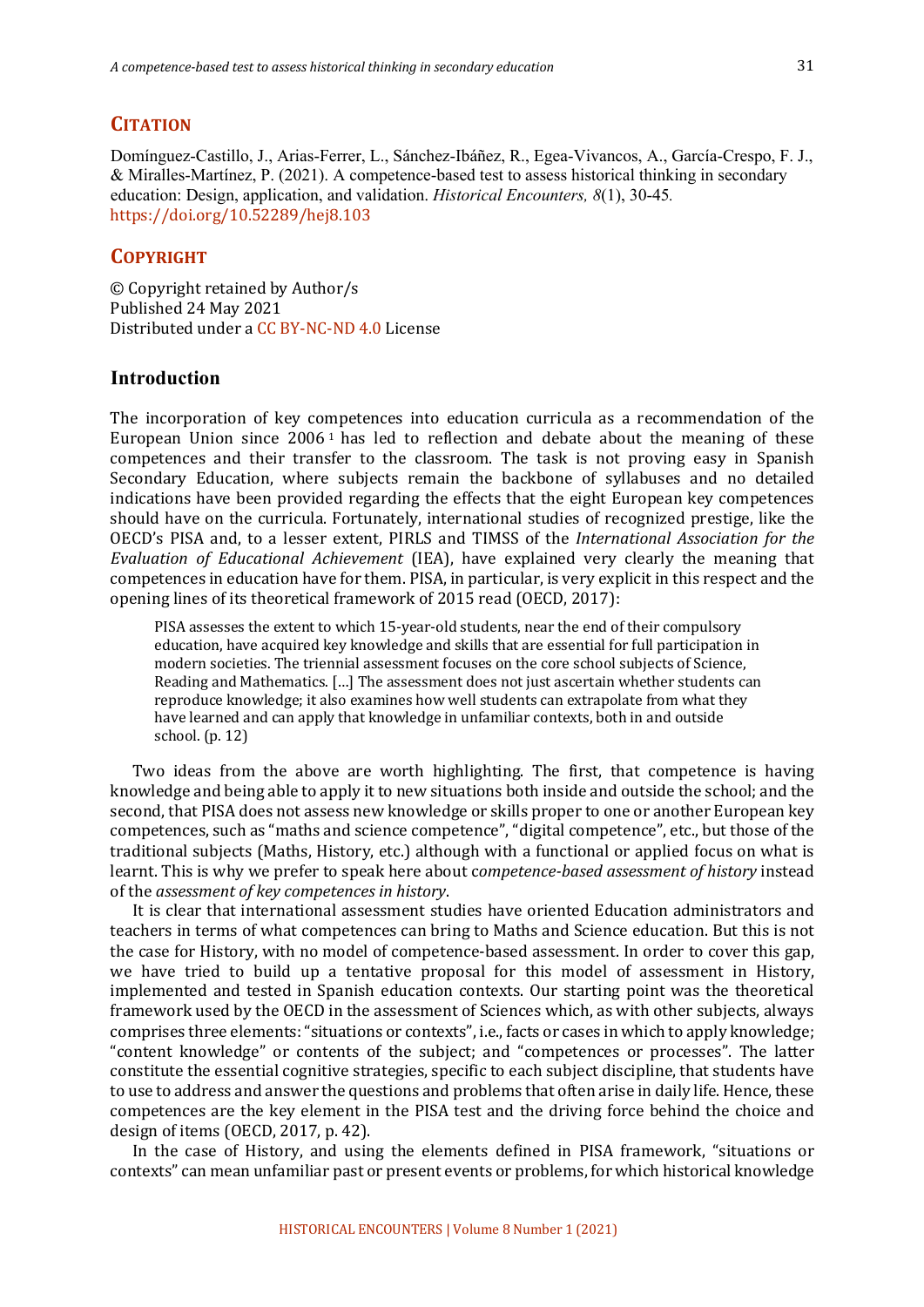#### **CITATION**

Domínguez-Castillo, J., Arias-Ferrer, L., Sánchez-Ibáñez, R., Egea-Vivancos, A., García-Crespo, F. J., & Miralles-Martínez, P. (2021). A competence-based test to assess historical thinking in secondary education: Design, application, and validation. *Historical Encounters, 8*(1), 30-45*.* https://doi.org/10.52289/hej8.103

#### **COPYRIGHT**

© Copyright retained by Author/s Published 24 May 2021 Distributed under a CC BY-NC-ND 4.0 License

#### **Introduction**

The incorporation of key competences into education curricula as a recommendation of the European Union since  $2006<sup>1</sup>$  has led to reflection and debate about the meaning of these competences and their transfer to the classroom. The task is not proving easy in Spanish Secondary Education, where subjects remain the backbone of syllabuses and no detailed indications have been provided regarding the effects that the eight European key competences should have on the curricula. Fortunately, international studies of recognized prestige, like the OECD's PISA and, to a lesser extent, PIRLS and TIMSS of the *International Association for the Evaluation of Educational Achievement* (IEA), have explained very clearly the meaning that competences in education have for them. PISA, in particular, is very explicit in this respect and the opening lines of its theoretical framework of 2015 read (OECD, 2017):

PISA assesses the extent to which 15-year-old students, near the end of their compulsory education, have acquired key knowledge and skills that are essential for full participation in modern societies. The triennial assessment focuses on the core school subjects of Science, Reading and Mathematics. [...] The assessment does not just ascertain whether students can reproduce knowledge; it also examines how well students can extrapolate from what they have learned and can apply that knowledge in unfamiliar contexts, both in and outside school.  $(p. 12)$ 

Two ideas from the above are worth highlighting. The first, that competence is having knowledge and being able to apply it to new situations both inside and outside the school; and the second, that PISA does not assess new knowledge or skills proper to one or another European key competences, such as "maths and science competence", "digital competence", etc., but those of the traditional subjects (Maths, History, etc.) although with a functional or applied focus on what is learnt. This is why we prefer to speak here about competence-based assessment of history instead of the *assessment of key competences in history*.

It is clear that international assessment studies have oriented Education administrators and teachers in terms of what competences can bring to Maths and Science education. But this is not the case for History, with no model of competence-based assessment. In order to cover this gap, we have tried to build up a tentative proposal for this model of assessment in History, implemented and tested in Spanish education contexts. Our starting point was the theoretical framework used by the OECD in the assessment of Sciences which, as with other subjects, always comprises three elements: "situations or contexts", i.e., facts or cases in which to apply knowledge; "content knowledge" or contents of the subject; and "competences or processes". The latter constitute the essential cognitive strategies, specific to each subject discipline, that students have to use to address and answer the questions and problems that often arise in daily life. Hence, these competences are the key element in the PISA test and the driving force behind the choice and design of items  $(OECD, 2017, p. 42)$ .

In the case of History, and using the elements defined in PISA framework, "situations or contexts" can mean unfamiliar past or present events or problems, for which historical knowledge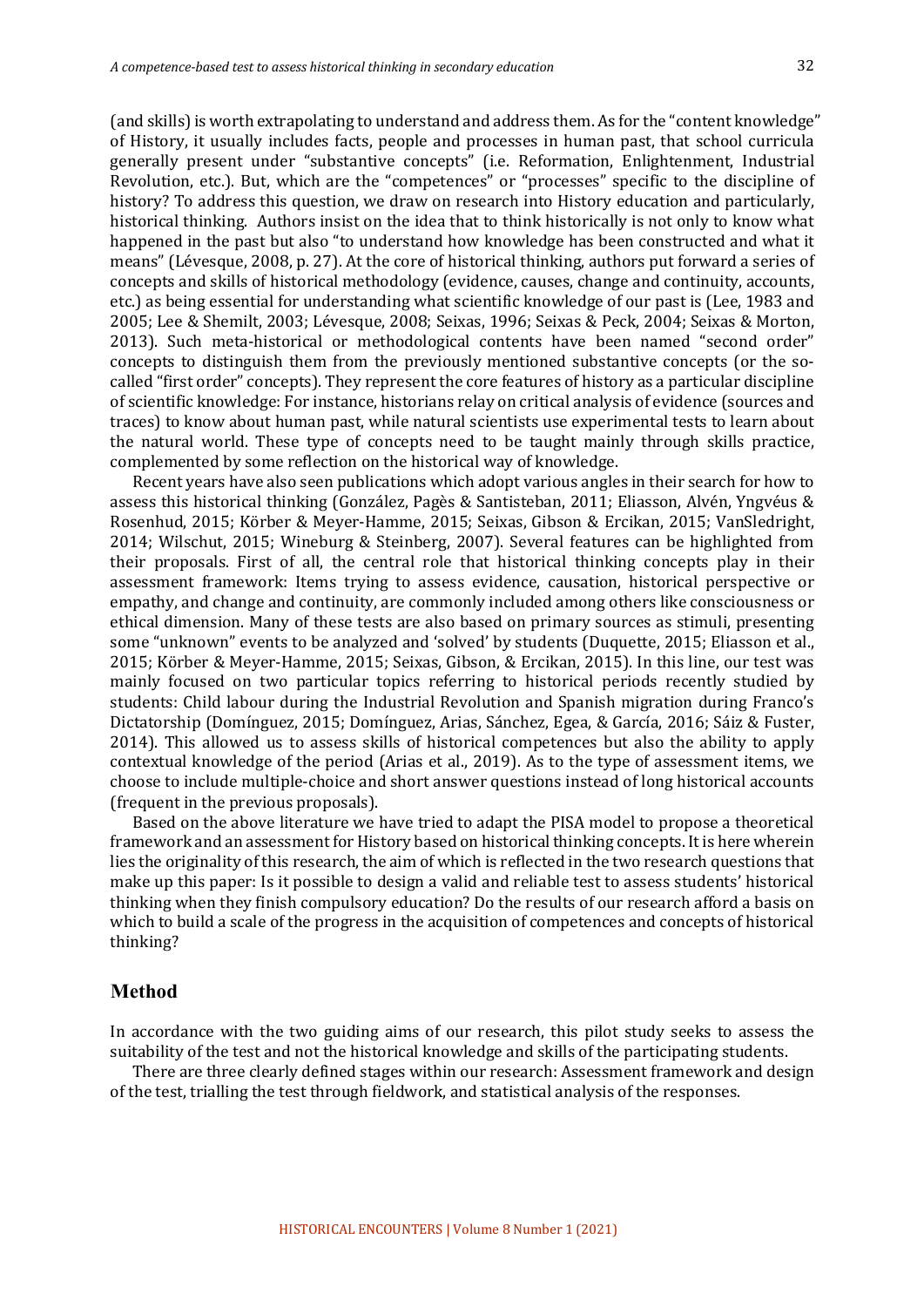(and skills) is worth extrapolating to understand and address them. As for the "content knowledge" of History, it usually includes facts, people and processes in human past, that school curricula generally present under "substantive concepts" (i.e. Reformation, Enlightenment, Industrial Revolution, etc.). But, which are the "competences" or "processes" specific to the discipline of history? To address this question, we draw on research into History education and particularly, historical thinking. Authors insist on the idea that to think historically is not only to know what happened in the past but also "to understand how knowledge has been constructed and what it means" (Lévesque, 2008, p. 27). At the core of historical thinking, authors put forward a series of concepts and skills of historical methodology (evidence, causes, change and continuity, accounts, etc.) as being essential for understanding what scientific knowledge of our past is (Lee, 1983 and 2005; Lee & Shemilt, 2003; Lévesque, 2008; Seixas, 1996; Seixas & Peck, 2004; Seixas & Morton, 2013). Such meta-historical or methodological contents have been named "second order" concepts to distinguish them from the previously mentioned substantive concepts (or the socalled "first order" concepts). They represent the core features of history as a particular discipline of scientific knowledge: For instance, historians relay on critical analysis of evidence (sources and traces) to know about human past, while natural scientists use experimental tests to learn about the natural world. These type of concepts need to be taught mainly through skills practice, complemented by some reflection on the historical way of knowledge.

Recent years have also seen publications which adopt various angles in their search for how to assess this historical thinking (González, Pagès & Santisteban, 2011; Eliasson, Alvén, Yngvéus & Rosenhud, 2015; Körber & Meyer-Hamme, 2015; Seixas, Gibson & Ercikan, 2015; VanSledright, 2014; Wilschut, 2015; Wineburg & Steinberg, 2007). Several features can be highlighted from their proposals. First of all, the central role that historical thinking concepts play in their assessment framework: Items trying to assess evidence, causation, historical perspective or empathy, and change and continuity, are commonly included among others like consciousness or ethical dimension. Many of these tests are also based on primary sources as stimuli, presenting some "unknown" events to be analyzed and 'solved' by students (Duquette, 2015; Eliasson et al., 2015; Körber & Meyer-Hamme, 2015; Seixas, Gibson, & Ercikan, 2015). In this line, our test was mainly focused on two particular topics referring to historical periods recently studied by students: Child labour during the Industrial Revolution and Spanish migration during Franco's Dictatorship (Domínguez, 2015; Domínguez, Arias, Sánchez, Egea, & García, 2016; Sáiz & Fuster, 2014). This allowed us to assess skills of historical competences but also the ability to apply contextual knowledge of the period (Arias et al., 2019). As to the type of assessment items, we choose to include multiple-choice and short answer questions instead of long historical accounts (frequent in the previous proposals).

Based on the above literature we have tried to adapt the PISA model to propose a theoretical framework and an assessment for History based on historical thinking concepts. It is here wherein lies the originality of this research, the aim of which is reflected in the two research questions that make up this paper: Is it possible to design a valid and reliable test to assess students' historical thinking when they finish compulsory education? Do the results of our research afford a basis on which to build a scale of the progress in the acquisition of competences and concepts of historical thinking?

#### **Method**

In accordance with the two guiding aims of our research, this pilot study seeks to assess the suitability of the test and not the historical knowledge and skills of the participating students.

There are three clearly defined stages within our research: Assessment framework and design of the test, trialling the test through fieldwork, and statistical analysis of the responses.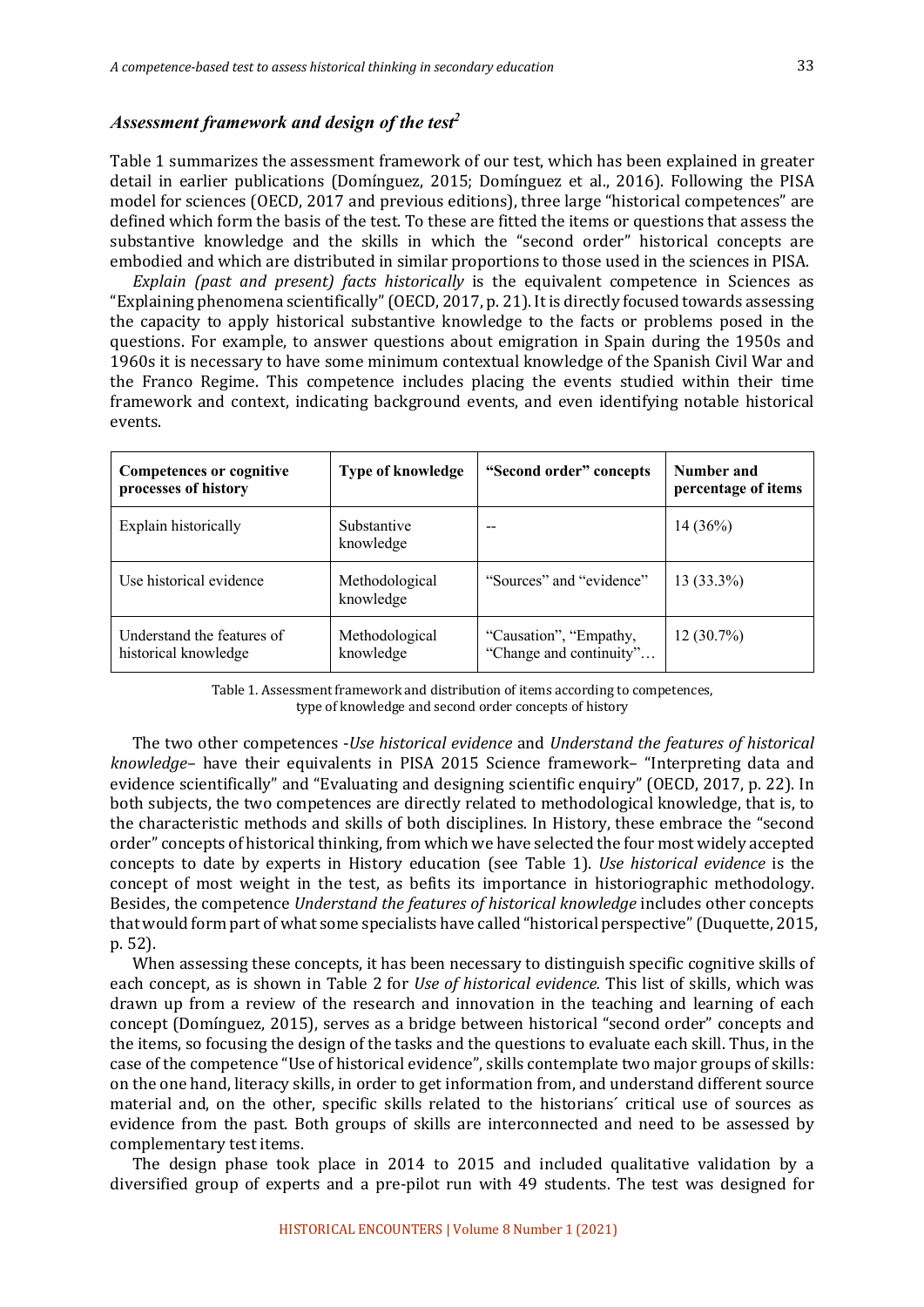#### *Assessment framework and design of the test2*

Table 1 summarizes the assessment framework of our test, which has been explained in greater detail in earlier publications (Domínguez, 2015; Domínguez et al., 2016). Following the PISA model for sciences (OECD, 2017 and previous editions), three large "historical competences" are defined which form the basis of the test. To these are fitted the items or questions that assess the substantive knowledge and the skills in which the "second order" historical concepts are embodied and which are distributed in similar proportions to those used in the sciences in PISA.

*Explain (past and present) facts historically* is the equivalent competence in Sciences as "Explaining phenomena scientifically" (OECD, 2017, p. 21). It is directly focused towards assessing the capacity to apply historical substantive knowledge to the facts or problems posed in the questions. For example, to answer questions about emigration in Spain during the 1950s and 1960s it is necessary to have some minimum contextual knowledge of the Spanish Civil War and the Franco Regime. This competence includes placing the events studied within their time framework and context, indicating background events, and even identifying notable historical events.

| <b>Competences or cognitive</b><br>processes of history | Type of knowledge           | "Second order" concepts                           | Number and<br>percentage of items |
|---------------------------------------------------------|-----------------------------|---------------------------------------------------|-----------------------------------|
| Explain historically                                    | Substantive<br>knowledge    | --                                                | 14(36%)                           |
| Use historical evidence                                 | Methodological<br>knowledge | "Sources" and "evidence"                          | $13(33.3\%)$                      |
| Understand the features of<br>historical knowledge      | Methodological<br>knowledge | "Causation", "Empathy,<br>"Change and continuity" | $12(30.7\%)$                      |

Table 1. Assessment framework and distribution of items according to competences, type of knowledge and second order concepts of history

The two other competences *-Use historical evidence* and *Understand the features of historical knowledge*- have their equivalents in PISA 2015 Science framework- "Interpreting data and evidence scientifically" and "Evaluating and designing scientific enquiry" (OECD, 2017, p. 22). In both subjects, the two competences are directly related to methodological knowledge, that is, to the characteristic methods and skills of both disciplines. In History, these embrace the "second order" concepts of historical thinking, from which we have selected the four most widely accepted concepts to date by experts in History education (see Table 1). *Use historical evidence* is the concept of most weight in the test, as befits its importance in historiographic methodology. Besides, the competence *Understand the features of historical knowledge* includes other concepts that would form part of what some specialists have called "historical perspective" (Duquette, 2015, p. 52).

When assessing these concepts, it has been necessary to distinguish specific cognitive skills of each concept, as is shown in Table 2 for *Use of historical evidence*. This list of skills, which was drawn up from a review of the research and innovation in the teaching and learning of each concept (Domínguez, 2015), serves as a bridge between historical "second order" concepts and the items, so focusing the design of the tasks and the questions to evaluate each skill. Thus, in the case of the competence "Use of historical evidence", skills contemplate two major groups of skills: on the one hand, literacy skills, in order to get information from, and understand different source material and, on the other, specific skills related to the historians' critical use of sources as evidence from the past. Both groups of skills are interconnected and need to be assessed by complementary test items.

The design phase took place in  $2014$  to  $2015$  and included qualitative validation by a diversified group of experts and a pre-pilot run with 49 students. The test was designed for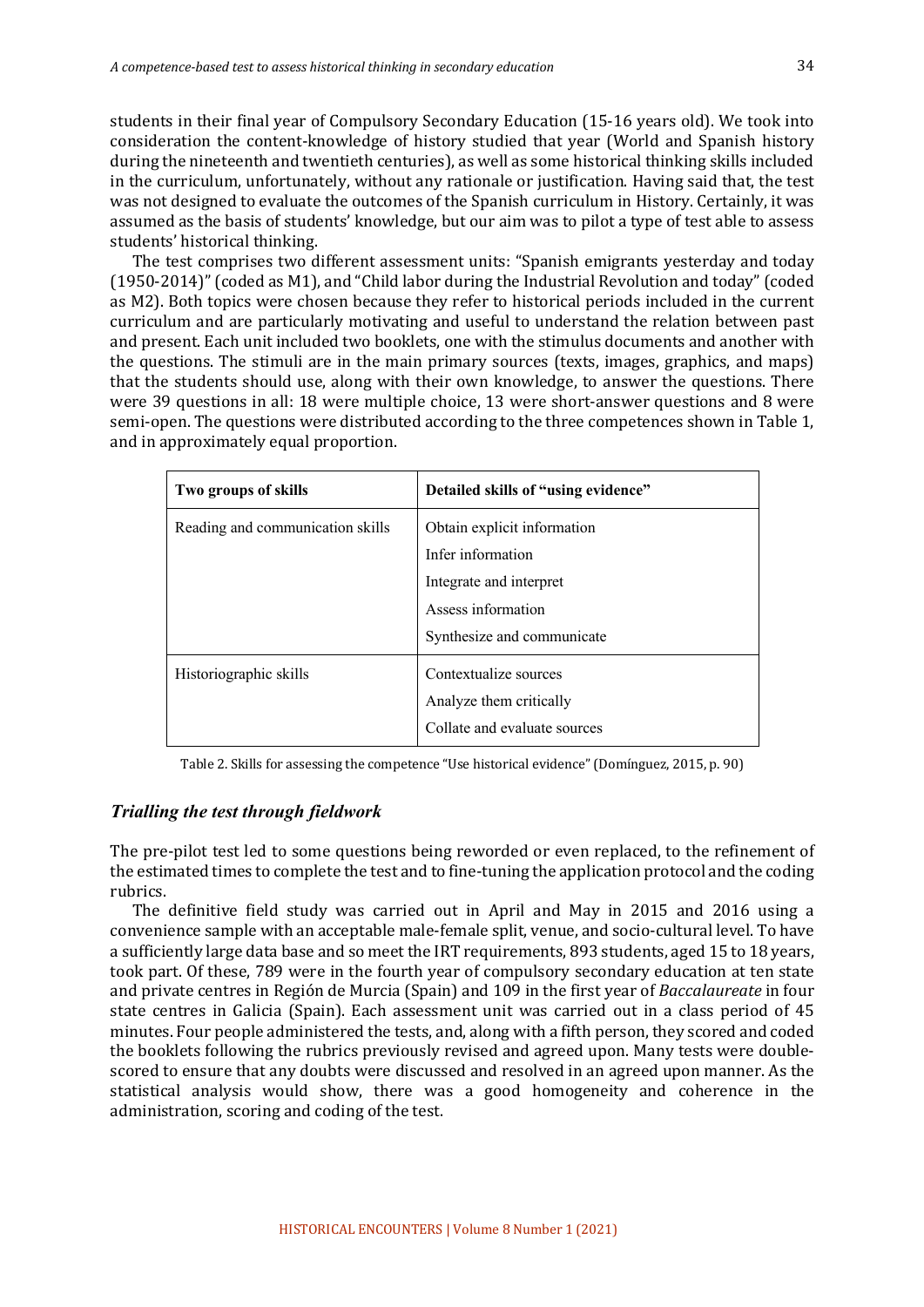students in their final year of Compulsory Secondary Education (15-16 years old). We took into consideration the content-knowledge of history studied that year (World and Spanish history during the nineteenth and twentieth centuries), as well as some historical thinking skills included in the curriculum, unfortunately, without any rationale or justification. Having said that, the test was not designed to evaluate the outcomes of the Spanish curriculum in History. Certainly, it was assumed as the basis of students' knowledge, but our aim was to pilot a type of test able to assess students' historical thinking.

The test comprises two different assessment units: "Spanish emigrants yesterday and today  $(1950-2014)$ " (coded as M1), and "Child labor during the Industrial Revolution and today" (coded as M2). Both topics were chosen because they refer to historical periods included in the current curriculum and are particularly motivating and useful to understand the relation between past and present. Each unit included two booklets, one with the stimulus documents and another with the questions. The stimuli are in the main primary sources (texts, images, graphics, and maps) that the students should use, along with their own knowledge, to answer the questions. There were 39 questions in all: 18 were multiple choice, 13 were short-answer questions and 8 were semi-open. The questions were distributed according to the three competences shown in Table 1, and in approximately equal proportion.

| Two groups of skills             | Detailed skills of "using evidence"                                                                                             |
|----------------------------------|---------------------------------------------------------------------------------------------------------------------------------|
| Reading and communication skills | Obtain explicit information<br>Infer information<br>Integrate and interpret<br>Assess information<br>Synthesize and communicate |
| Historiographic skills           | Contextualize sources<br>Analyze them critically<br>Collate and evaluate sources                                                |

Table 2. Skills for assessing the competence "Use historical evidence" (Domínguez, 2015, p. 90)

#### *Trialling the test through fieldwork*

The pre-pilot test led to some questions being reworded or even replaced, to the refinement of the estimated times to complete the test and to fine-tuning the application protocol and the coding rubrics. 

The definitive field study was carried out in April and May in 2015 and 2016 using a convenience sample with an acceptable male-female split, venue, and socio-cultural level. To have a sufficiently large data base and so meet the IRT requirements, 893 students, aged 15 to 18 years, took part. Of these, 789 were in the fourth year of compulsory secondary education at ten state and private centres in Región de Murcia (Spain) and 109 in the first year of *Baccalaureate* in four state centres in Galicia (Spain). Each assessment unit was carried out in a class period of 45 minutes. Four people administered the tests, and, along with a fifth person, they scored and coded the booklets following the rubrics previously revised and agreed upon. Many tests were doublescored to ensure that any doubts were discussed and resolved in an agreed upon manner. As the statistical analysis would show, there was a good homogeneity and coherence in the administration, scoring and coding of the test.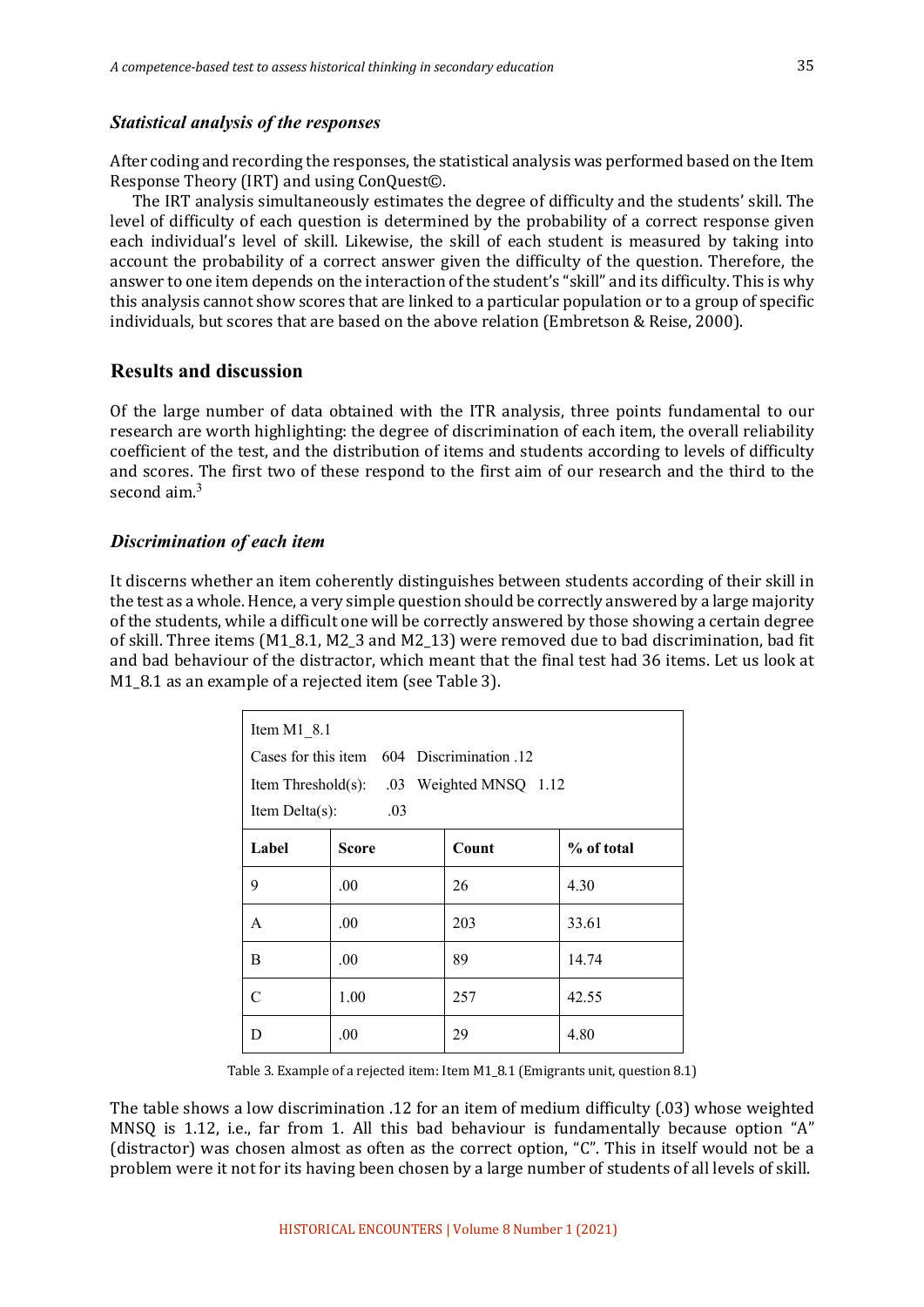#### *Statistical analysis of the responses*

After coding and recording the responses, the statistical analysis was performed based on the Item Response Theory (IRT) and using ConQuest©.

The IRT analysis simultaneously estimates the degree of difficulty and the students' skill. The level of difficulty of each question is determined by the probability of a correct response given each individual's level of skill. Likewise, the skill of each student is measured by taking into account the probability of a correct answer given the difficulty of the question. Therefore, the answer to one item depends on the interaction of the student's "skill" and its difficulty. This is why this analysis cannot show scores that are linked to a particular population or to a group of specific individuals, but scores that are based on the above relation (Embretson & Reise, 2000).

#### **Results and discussion**

Of the large number of data obtained with the ITR analysis, three points fundamental to our research are worth highlighting: the degree of discrimination of each item, the overall reliability coefficient of the test, and the distribution of items and students according to levels of difficulty and scores. The first two of these respond to the first aim of our research and the third to the second  $\text{aim}^3$ 

#### *Discrimination of each item*

It discerns whether an item coherently distinguishes between students according of their skill in the test as a whole. Hence, a very simple question should be correctly answered by a large majority of the students, while a difficult one will be correctly answered by those showing a certain degree of skill. Three items  $(M1\;8.1, M2\;3$  and  $M2\;13$  were removed due to bad discrimination, bad fit and bad behaviour of the distractor, which meant that the final test had 36 items. Let us look at M1\_8.1 as an example of a rejected item (see Table 3).

| Item $M1$ 8.1 |                                            |                                           |            |  |  |
|---------------|--------------------------------------------|-------------------------------------------|------------|--|--|
|               | Cases for this item 604 Discrimination .12 |                                           |            |  |  |
|               |                                            | Item Threshold(s): .03 Weighted MNSQ 1.12 |            |  |  |
|               | Item Delta(s):<br>.03                      |                                           |            |  |  |
| Label         | Score                                      | Count                                     | % of total |  |  |
| 9             | .00                                        | 26                                        | 4.30       |  |  |
| A             | .00                                        | 203                                       | 33.61      |  |  |
| B             | .00                                        | 89                                        | 14.74      |  |  |
| C             | 1.00                                       | 257                                       | 42.55      |  |  |
| D             | .00                                        | 29                                        | 4.80       |  |  |

Table 3. Example of a rejected item: Item M1\_8.1 (Emigrants unit, question 8.1)

The table shows a low discrimination .12 for an item of medium difficulty  $(0.03)$  whose weighted MNSQ is 1.12, i.e., far from 1. All this bad behaviour is fundamentally because option "A" (distractor) was chosen almost as often as the correct option, "C". This in itself would not be a problem were it not for its having been chosen by a large number of students of all levels of skill.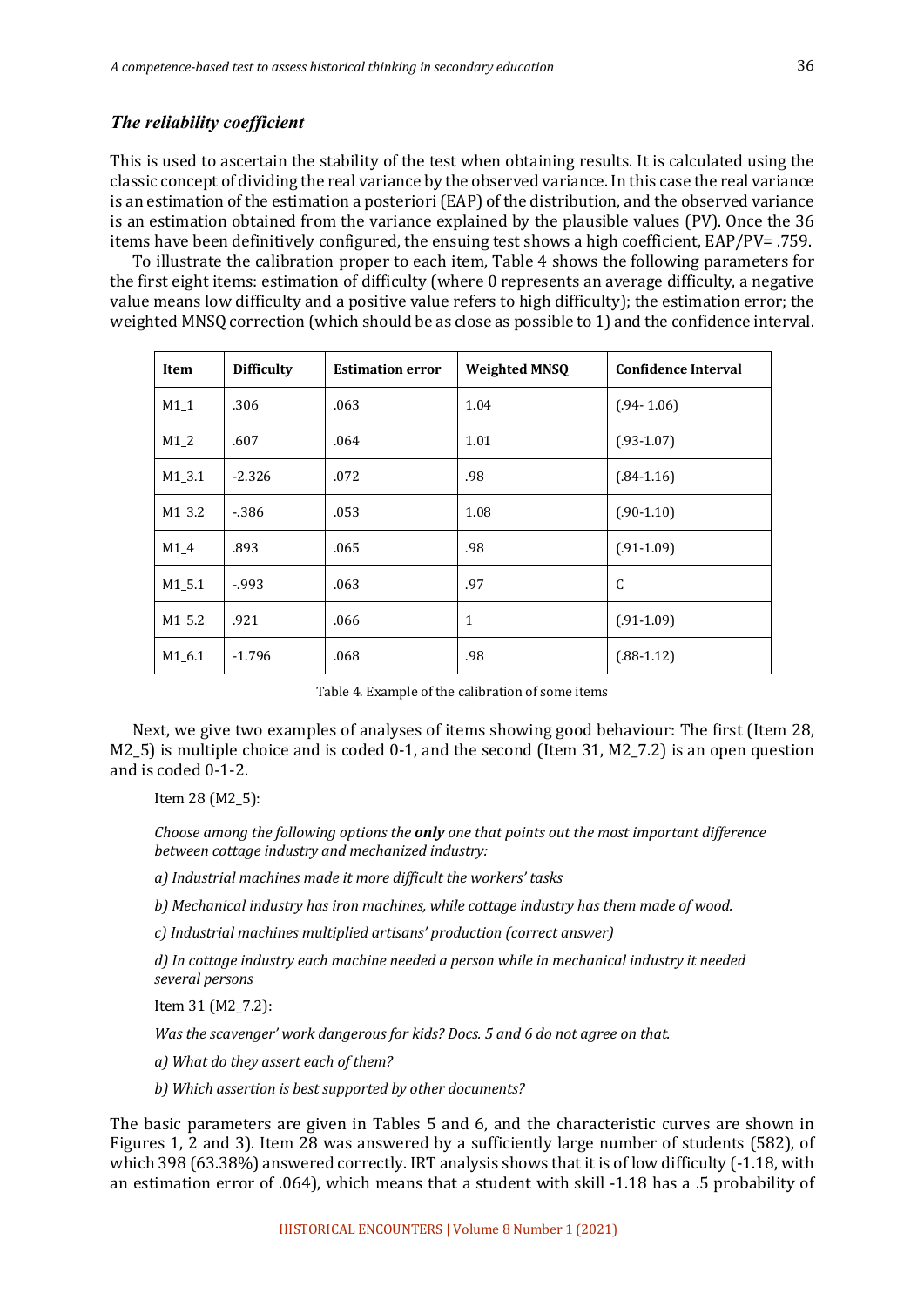#### *The reliability coefficient*

This is used to ascertain the stability of the test when obtaining results. It is calculated using the classic concept of dividing the real variance by the observed variance. In this case the real variance is an estimation of the estimation a posteriori (EAP) of the distribution, and the observed variance is an estimation obtained from the variance explained by the plausible values (PV). Once the 36 items have been definitively configured, the ensuing test shows a high coefficient, EAP/PV= .759.

To illustrate the calibration proper to each item, Table 4 shows the following parameters for the first eight items: estimation of difficulty (where 0 represents an average difficulty, a negative value means low difficulty and a positive value refers to high difficulty); the estimation error; the weighted MNSO correction (which should be as close as possible to 1) and the confidence interval.

| Item     | <b>Difficulty</b> | <b>Estimation error</b> | <b>Weighted MNSQ</b> | <b>Confidence Interval</b> |
|----------|-------------------|-------------------------|----------------------|----------------------------|
| M1 1     | .306              | .063                    | 1.04                 | $(.94 - 1.06)$             |
| $M1_2$   | .607              | .064                    | 1.01                 | $(.93-1.07)$               |
| $M1_3.1$ | $-2.326$          | .072                    | .98                  | $(.84-1.16)$               |
| M1 3.2   | $-386$            | .053                    | 1.08                 | $(.90-1.10)$               |
| $M1_4$   | .893              | .065                    | .98                  | $(.91-1.09)$               |
| $M1_5.1$ | $-0.993$          | .063                    | .97                  | C                          |
| M1 5.2   | .921              | .066                    | $\mathbf{1}$         | $(.91-1.09)$               |
| M1 6.1   | $-1.796$          | .068                    | .98                  | $(.88-1.12)$               |

| Table 4. Example of the calibration of some items |  |  |
|---------------------------------------------------|--|--|
|---------------------------------------------------|--|--|

Next, we give two examples of analyses of items showing good behaviour: The first (Item 28, M2\_5) is multiple choice and is coded 0-1, and the second (Item 31, M2\_7.2) is an open question and is coded 0-1-2.

Item 28 (M2\_5):

*Choose among the following options the only one that points out the most important difference between cottage industry and mechanized industry:*

*a) Industrial machines made it more difficult the workers' tasks*

b) Mechanical industry has iron machines, while cottage industry has them made of wood.

*c) Industrial machines multiplied artisans' production (correct answer)*

*d)* In cottage industry each machine needed a person while in mechanical industry it needed *several persons*

Item 31 (M2\_7.2):

*Was the scavenger'* work dangerous for kids? Docs. 5 and 6 do not agree on that.

*a) What do they assert each of them?*

b) Which assertion is best supported by other documents?

The basic parameters are given in Tables 5 and 6, and the characteristic curves are shown in Figures 1, 2 and 3). Item 28 was answered by a sufficiently large number of students (582), of which  $398$  (63.38%) answered correctly. IRT analysis shows that it is of low difficulty (-1.18, with an estimation error of .064), which means that a student with skill -1.18 has a .5 probability of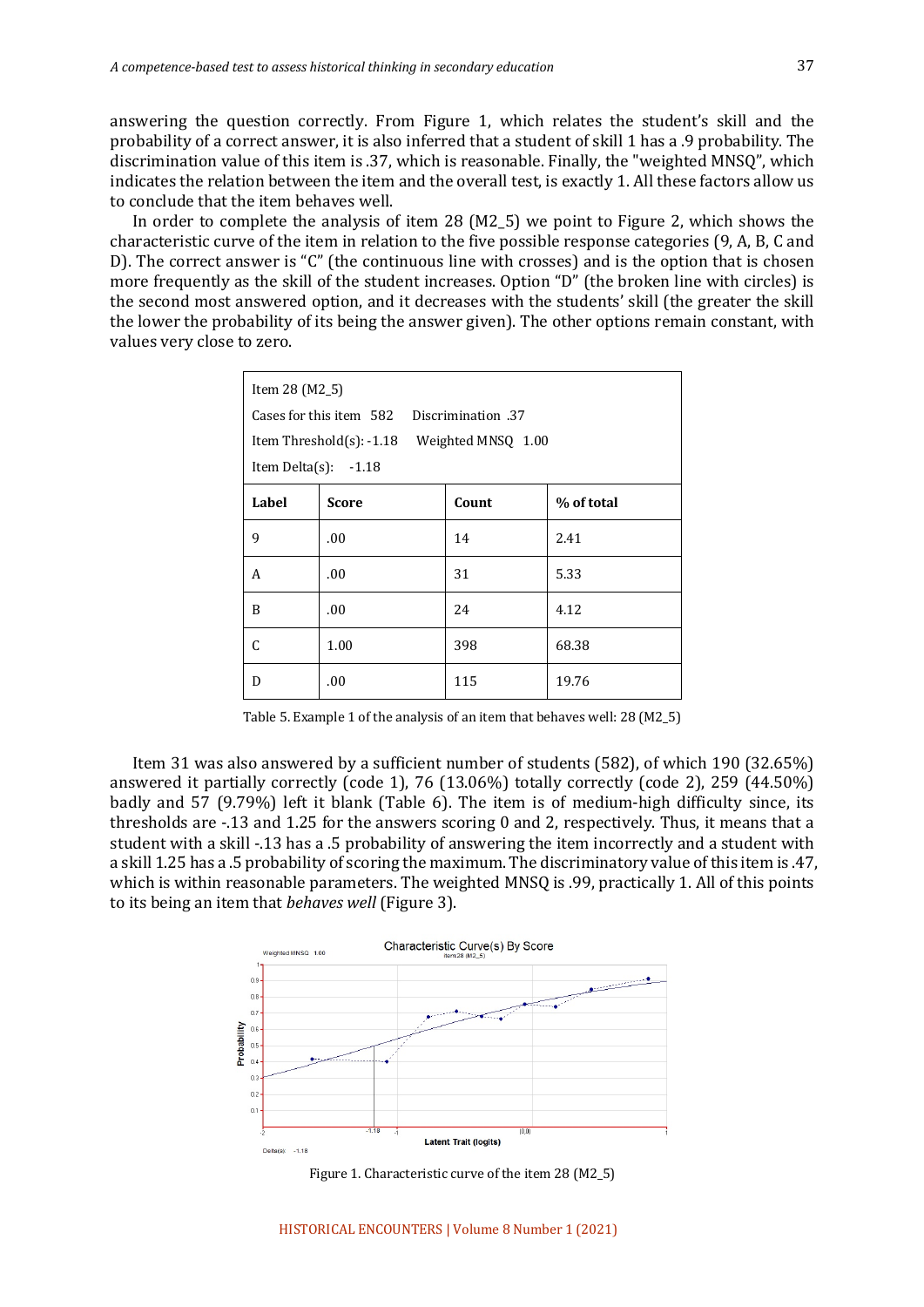answering the question correctly. From Figure 1, which relates the student's skill and the probability of a correct answer, it is also inferred that a student of skill 1 has a .9 probability. The discrimination value of this item is .37, which is reasonable. Finally, the "weighted MNSQ", which indicates the relation between the item and the overall test, is exactly 1. All these factors allow us to conclude that the item behaves well.

In order to complete the analysis of item 28 (M2 5) we point to Figure 2, which shows the characteristic curve of the item in relation to the five possible response categories (9, A, B, C and D). The correct answer is "C" (the continuous line with crosses) and is the option that is chosen more frequently as the skill of the student increases. Option "D" (the broken line with circles) is the second most answered option, and it decreases with the students' skill (the greater the skill the lower the probability of its being the answer given). The other options remain constant, with values very close to zero.

| Item 28 (M2_5) |                                               |       |            |  |  |
|----------------|-----------------------------------------------|-------|------------|--|--|
|                | Cases for this item 582<br>37. Discrimination |       |            |  |  |
|                | Item Threshold(s): -1.18 Weighted MNSQ 1.00   |       |            |  |  |
|                | Item Delta $(s)$ : -1.18                      |       |            |  |  |
| Label          | <b>Score</b>                                  | Count | % of total |  |  |
| 9              | .00.                                          | 14    | 2.41       |  |  |
| A              | .00                                           | 31    | 5.33       |  |  |
| B              | .00                                           | 24    | 4.12       |  |  |
| C              | 1.00                                          | 398   | 68.38      |  |  |
| D              | .00                                           | 115   | 19.76      |  |  |

Table 5. Example 1 of the analysis of an item that behaves well: 28 (M2\_5)

Item 31 was also answered by a sufficient number of students  $(582)$ , of which 190  $(32.65\%)$ answered it partially correctly (code 1), 76 (13.06%) totally correctly (code 2), 259 (44.50%) badly and 57 (9.79%) left it blank (Table 6). The item is of medium-high difficulty since, its thresholds are  $-.13$  and  $1.25$  for the answers scoring 0 and 2, respectively. Thus, it means that a student with a skill -.13 has a .5 probability of answering the item incorrectly and a student with a skill 1.25 has a .5 probability of scoring the maximum. The discriminatory value of this item is .47, which is within reasonable parameters. The weighted MNSQ is .99, practically 1. All of this points to its being an item that *behaves* well (Figure 3).



Figure 1. Characteristic curve of the item  $28$  (M2\_5)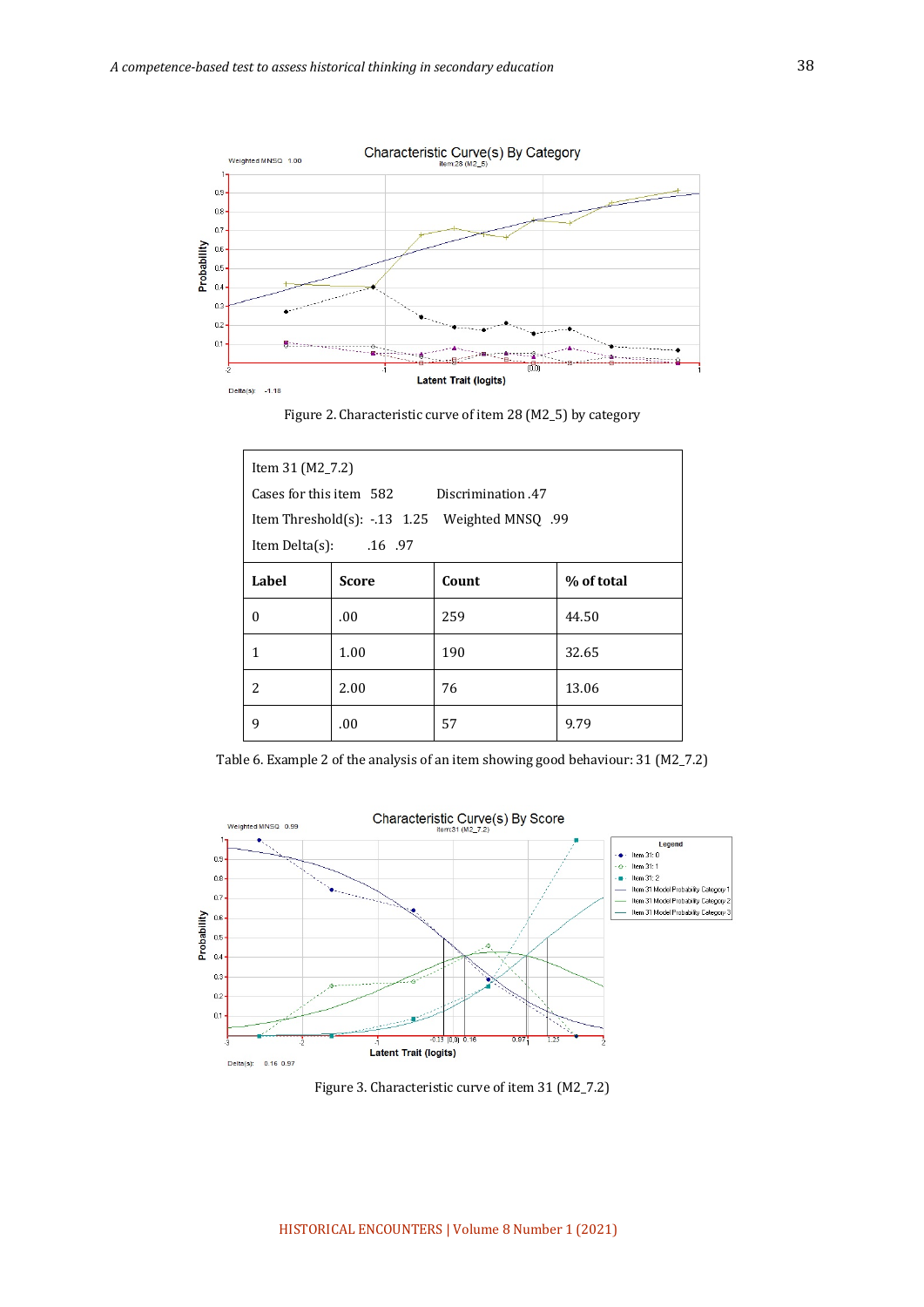

Figure 2. Characteristic curve of item 28 (M2\_5) by category

| Item 31 (M2_7.2)        |                                              |                                                 |            |  |  |
|-------------------------|----------------------------------------------|-------------------------------------------------|------------|--|--|
|                         | Cases for this item 582<br>Discrimination 47 |                                                 |            |  |  |
|                         |                                              | 199. Item Threshold(s): -.13 1.25 Weighted MNSQ |            |  |  |
| Item Delta(s): $.16.97$ |                                              |                                                 |            |  |  |
| Label                   | <b>Score</b>                                 | Count                                           | % of total |  |  |
| 0                       | .00.                                         | 259                                             | 44.50      |  |  |
| 1                       | 1.00                                         | 190                                             | 32.65      |  |  |
| 2                       | 2.00                                         | 76                                              | 13.06      |  |  |
| 9                       | .00.                                         | 57                                              | 9.79       |  |  |

Table 6. Example 2 of the analysis of an item showing good behaviour: 31 (M2\_7.2)



Figure 3. Characteristic curve of item 31 (M2\_7.2)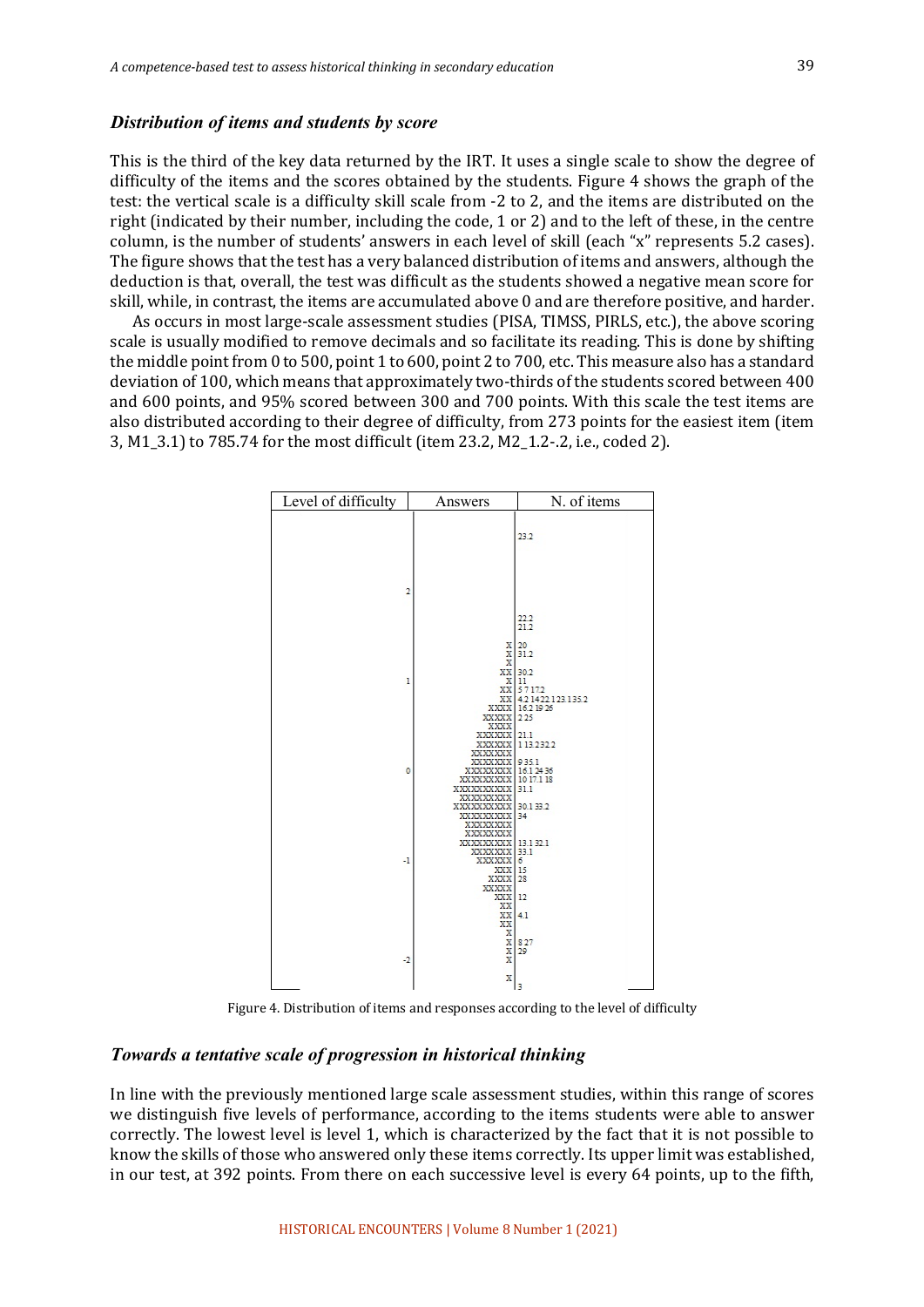#### *Distribution of items and students by score*

This is the third of the key data returned by the IRT. It uses a single scale to show the degree of difficulty of the items and the scores obtained by the students. Figure 4 shows the graph of the test: the vertical scale is a difficulty skill scale from -2 to 2, and the items are distributed on the right (indicated by their number, including the code, 1 or 2) and to the left of these, in the centre column, is the number of students' answers in each level of skill (each "x" represents 5.2 cases). The figure shows that the test has a very balanced distribution of items and answers, although the deduction is that, overall, the test was difficult as the students showed a negative mean score for skill, while, in contrast, the items are accumulated above 0 and are therefore positive, and harder.

As occurs in most large-scale assessment studies (PISA, TIMSS, PIRLS, etc.), the above scoring scale is usually modified to remove decimals and so facilitate its reading. This is done by shifting the middle point from 0 to 500, point 1 to 600, point 2 to 700, etc. This measure also has a standard deviation of 100, which means that approximately two-thirds of the students scored between 400 and 600 points, and 95% scored between 300 and 700 points. With this scale the test items are also distributed according to their degree of difficulty, from 273 points for the easiest item (item 3, M1\_3.1) to 785.74 for the most difficult (item 23.2, M2\_1.2-.2, i.e., coded 2).



Figure 4. Distribution of items and responses according to the level of difficulty

#### *Towards a tentative scale of progression in historical thinking*

In line with the previously mentioned large scale assessment studies, within this range of scores we distinguish five levels of performance, according to the items students were able to answer correctly. The lowest level is level 1, which is characterized by the fact that it is not possible to know the skills of those who answered only these items correctly. Its upper limit was established, in our test, at 392 points. From there on each successive level is every 64 points, up to the fifth,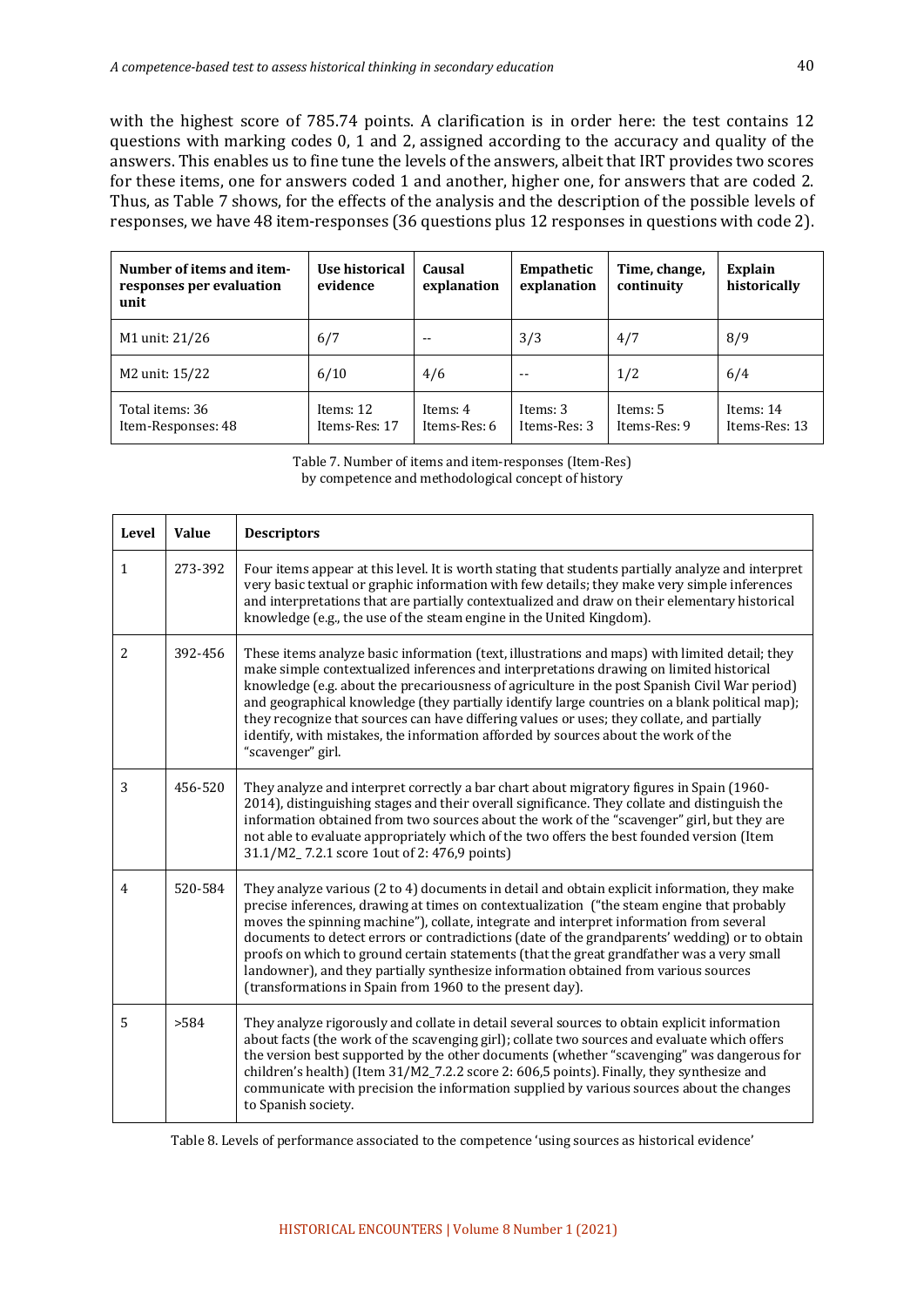with the highest score of 785.74 points. A clarification is in order here: the test contains 12 questions with marking codes 0, 1 and 2, assigned according to the accuracy and quality of the answers. This enables us to fine tune the levels of the answers, albeit that IRT provides two scores for these items, one for answers coded 1 and another, higher one, for answers that are coded 2. Thus, as Table 7 shows, for the effects of the analysis and the description of the possible levels of responses, we have 48 item-responses (36 questions plus 12 responses in questions with code 2).

| Number of items and item-<br>responses per evaluation<br>unit | Use historical<br>evidence | Causal<br>explanation    | Empathetic<br>explanation | Time, change,<br>continuity | <b>Explain</b><br>historically |
|---------------------------------------------------------------|----------------------------|--------------------------|---------------------------|-----------------------------|--------------------------------|
| M1 unit: 21/26                                                | 6/7                        |                          | 3/3                       | 4/7                         | 8/9                            |
| M2 unit: 15/22                                                | 6/10                       | 4/6                      | $ -$                      | 1/2                         | 6/4                            |
| Total items: 36<br>Item-Responses: 48                         | Items: 12<br>Items-Res: 17 | Items: 4<br>Items-Res: 6 | Items: 3<br>Items-Res: 3  | Items: 5<br>Items-Res: 9    | Items: 14<br>Items-Res: 13     |

Table 7. Number of items and item-responses (Item-Res) by competence and methodological concept of history

| Level          | Value   | <b>Descriptors</b>                                                                                                                                                                                                                                                                                                                                                                                                                                                                                                                                                                                                                     |
|----------------|---------|----------------------------------------------------------------------------------------------------------------------------------------------------------------------------------------------------------------------------------------------------------------------------------------------------------------------------------------------------------------------------------------------------------------------------------------------------------------------------------------------------------------------------------------------------------------------------------------------------------------------------------------|
| $\mathbf{1}$   | 273-392 | Four items appear at this level. It is worth stating that students partially analyze and interpret<br>very basic textual or graphic information with few details; they make very simple inferences<br>and interpretations that are partially contextualized and draw on their elementary historical<br>knowledge (e.g., the use of the steam engine in the United Kingdom).                                                                                                                                                                                                                                                            |
| 2              | 392-456 | These items analyze basic information (text, illustrations and maps) with limited detail; they<br>make simple contextualized inferences and interpretations drawing on limited historical<br>knowledge (e.g. about the precariousness of agriculture in the post Spanish Civil War period)<br>and geographical knowledge (they partially identify large countries on a blank political map);<br>they recognize that sources can have differing values or uses; they collate, and partially<br>identify, with mistakes, the information afforded by sources about the work of the<br>"scavenger" girl.                                  |
| 3              | 456-520 | They analyze and interpret correctly a bar chart about migratory figures in Spain (1960-<br>2014), distinguishing stages and their overall significance. They collate and distinguish the<br>information obtained from two sources about the work of the "scavenger" girl, but they are<br>not able to evaluate appropriately which of the two offers the best founded version (Item<br>31.1/M2_7.2.1 score 1out of 2: 476,9 points)                                                                                                                                                                                                   |
| $\overline{4}$ | 520-584 | They analyze various (2 to 4) documents in detail and obtain explicit information, they make<br>precise inferences, drawing at times on contextualization ("the steam engine that probably<br>moves the spinning machine"), collate, integrate and interpret information from several<br>documents to detect errors or contradictions (date of the grandparents' wedding) or to obtain<br>proofs on which to ground certain statements (that the great grandfather was a very small<br>landowner), and they partially synthesize information obtained from various sources<br>(transformations in Spain from 1960 to the present day). |
| 5              | >584    | They analyze rigorously and collate in detail several sources to obtain explicit information<br>about facts (the work of the scavenging girl); collate two sources and evaluate which offers<br>the version best supported by the other documents (whether "scavenging" was dangerous for<br>children's health) (Item 31/M2_7.2.2 score 2: 606,5 points). Finally, they synthesize and<br>communicate with precision the information supplied by various sources about the changes<br>to Spanish society.                                                                                                                              |

Table 8. Levels of performance associated to the competence 'using sources as historical evidence'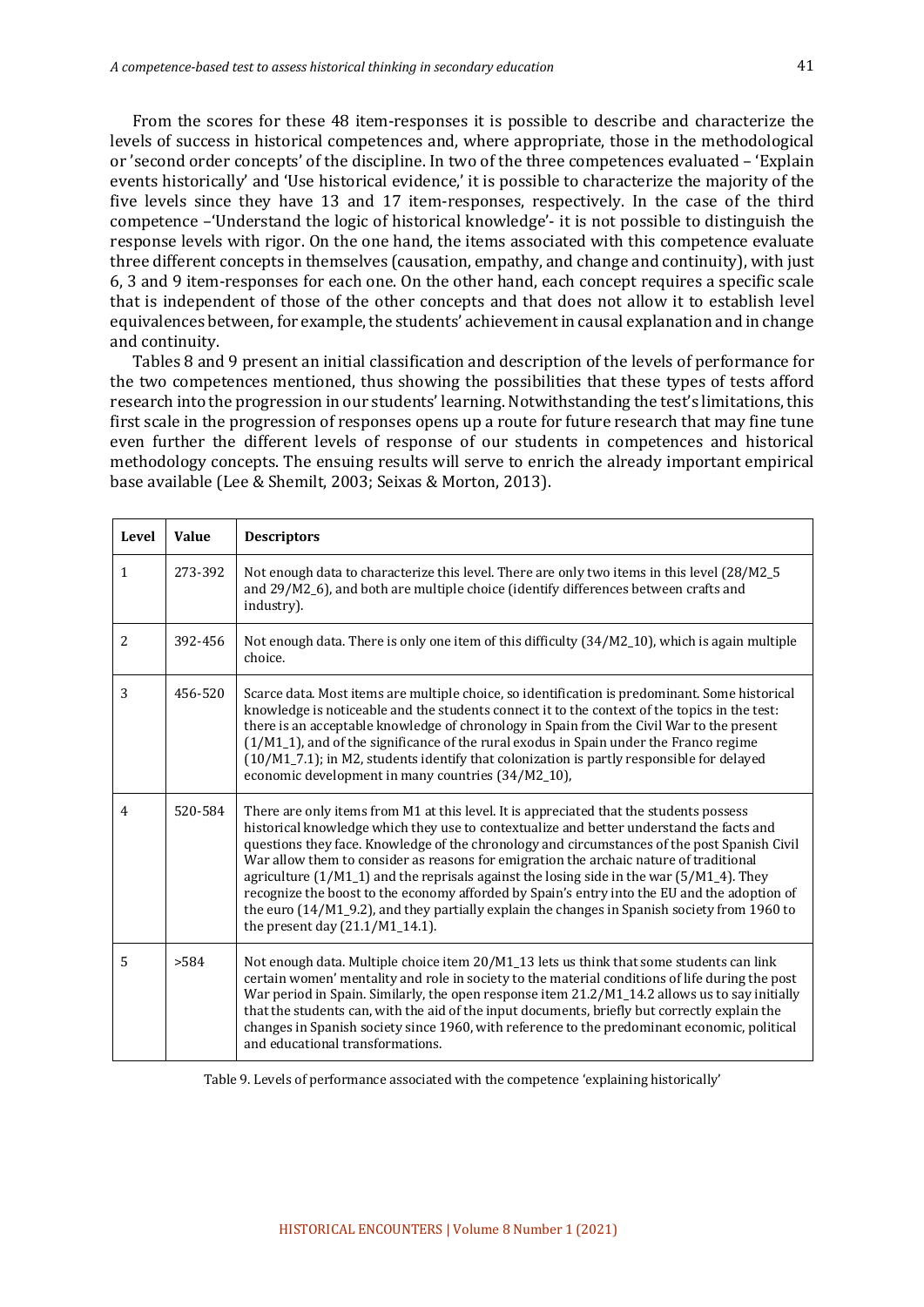From the scores for these 48 item-responses it is possible to describe and characterize the levels of success in historical competences and, where appropriate, those in the methodological or 'second order concepts' of the discipline. In two of the three competences evaluated – 'Explain events historically' and 'Use historical evidence,' it is possible to characterize the majority of the five levels since they have 13 and 17 item-responses, respectively. In the case of the third competence -'Understand the logic of historical knowledge'- it is not possible to distinguish the response levels with rigor. On the one hand, the items associated with this competence evaluate three different concepts in themselves (causation, empathy, and change and continuity), with just 6, 3 and 9 item-responses for each one. On the other hand, each concept requires a specific scale that is independent of those of the other concepts and that does not allow it to establish level equivalences between, for example, the students' achievement in causal explanation and in change and continuity.

Tables 8 and 9 present an initial classification and description of the levels of performance for the two competences mentioned, thus showing the possibilities that these types of tests afford research into the progression in our students' learning. Notwithstanding the test's limitations, this first scale in the progression of responses opens up a route for future research that may fine tune even further the different levels of response of our students in competences and historical methodology concepts. The ensuing results will serve to enrich the already important empirical base available (Lee & Shemilt, 2003; Seixas & Morton, 2013).

| Level          | Value   | <b>Descriptors</b>                                                                                                                                                                                                                                                                                                                                                                                                                                                                                                                                                                                                                                                                                                |
|----------------|---------|-------------------------------------------------------------------------------------------------------------------------------------------------------------------------------------------------------------------------------------------------------------------------------------------------------------------------------------------------------------------------------------------------------------------------------------------------------------------------------------------------------------------------------------------------------------------------------------------------------------------------------------------------------------------------------------------------------------------|
| $\mathbf{1}$   | 273-392 | Not enough data to characterize this level. There are only two items in this level (28/M2_5)<br>and 29/M2_6), and both are multiple choice (identify differences between crafts and<br>industry).                                                                                                                                                                                                                                                                                                                                                                                                                                                                                                                 |
| $\overline{c}$ | 392-456 | Not enough data. There is only one item of this difficulty (34/M2_10), which is again multiple<br>choice.                                                                                                                                                                                                                                                                                                                                                                                                                                                                                                                                                                                                         |
| 3              | 456-520 | Scarce data. Most items are multiple choice, so identification is predominant. Some historical<br>knowledge is noticeable and the students connect it to the context of the topics in the test:<br>there is an acceptable knowledge of chronology in Spain from the Civil War to the present<br>$(1/M1_1)$ , and of the significance of the rural exodus in Spain under the Franco regime<br>(10/M1_7.1); in M2, students identify that colonization is partly responsible for delayed<br>economic development in many countries (34/M2_10),                                                                                                                                                                      |
| $\overline{4}$ | 520-584 | There are only items from M1 at this level. It is appreciated that the students possess<br>historical knowledge which they use to contextualize and better understand the facts and<br>questions they face. Knowledge of the chronology and circumstances of the post Spanish Civil<br>War allow them to consider as reasons for emigration the archaic nature of traditional<br>agriculture $(1/M1_1)$ and the reprisals against the losing side in the war $(5/M1_4)$ . They<br>recognize the boost to the economy afforded by Spain's entry into the EU and the adoption of<br>the euro (14/M1_9.2), and they partially explain the changes in Spanish society from 1960 to<br>the present day (21.1/M1_14.1). |
| 5              | >584    | Not enough data. Multiple choice item 20/M1_13 lets us think that some students can link<br>certain women' mentality and role in society to the material conditions of life during the post<br>War period in Spain. Similarly, the open response item 21.2/M1_14.2 allows us to say initially<br>that the students can, with the aid of the input documents, briefly but correctly explain the<br>changes in Spanish society since 1960, with reference to the predominant economic, political<br>and educational transformations.                                                                                                                                                                                |

Table 9. Levels of performance associated with the competence 'explaining historically'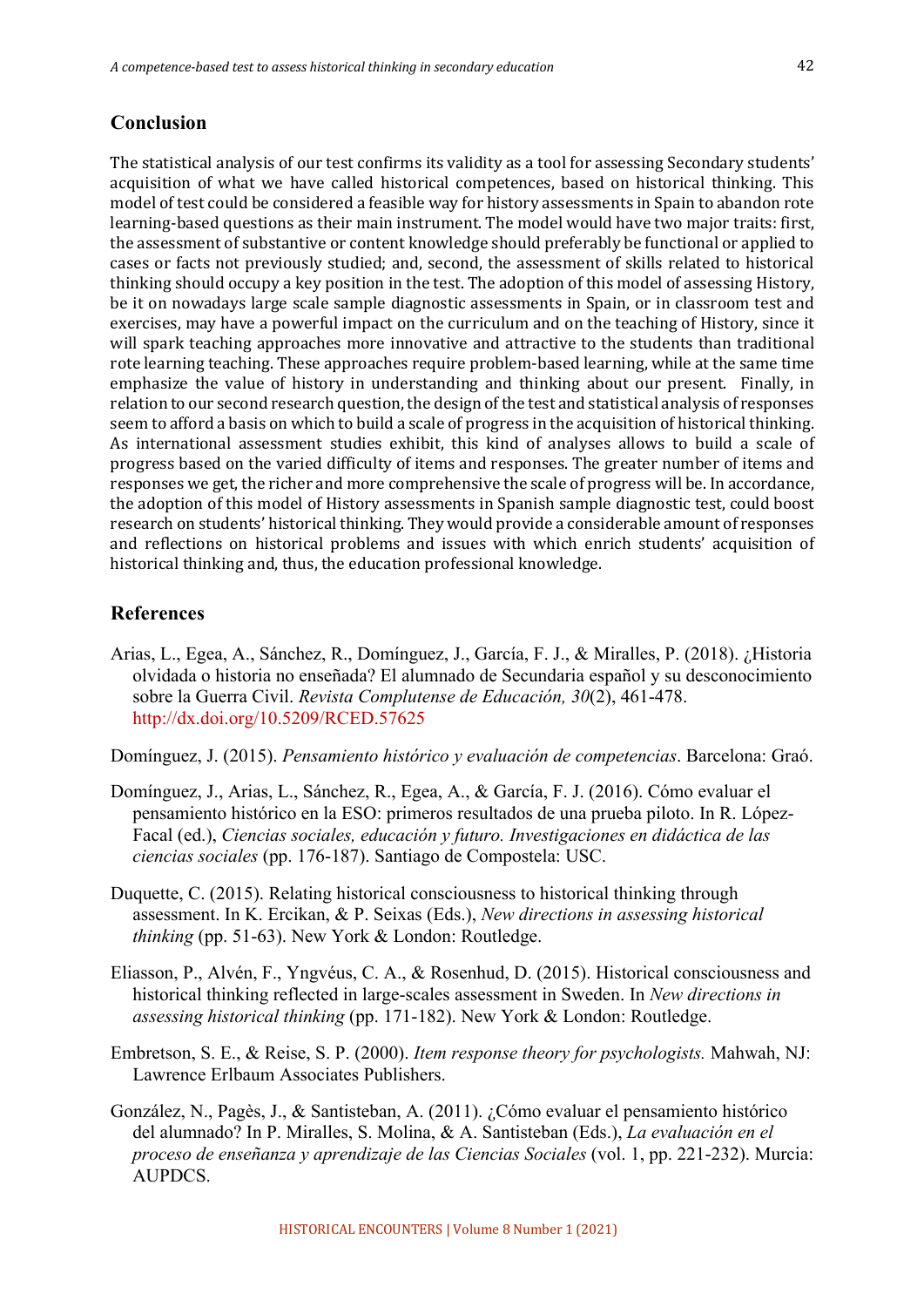#### **Conclusion**

The statistical analysis of our test confirms its validity as a tool for assessing Secondary students' acquisition of what we have called historical competences, based on historical thinking. This model of test could be considered a feasible way for history assessments in Spain to abandon rote learning-based questions as their main instrument. The model would have two major traits: first, the assessment of substantive or content knowledge should preferably be functional or applied to cases or facts not previously studied; and, second, the assessment of skills related to historical thinking should occupy a key position in the test. The adoption of this model of assessing History, be it on nowadays large scale sample diagnostic assessments in Spain, or in classroom test and exercises, may have a powerful impact on the curriculum and on the teaching of History, since it will spark teaching approaches more innovative and attractive to the students than traditional rote learning teaching. These approaches require problem-based learning, while at the same time emphasize the value of history in understanding and thinking about our present. Finally, in relation to our second research question, the design of the test and statistical analysis of responses seem to afford a basis on which to build a scale of progress in the acquisition of historical thinking. As international assessment studies exhibit, this kind of analyses allows to build a scale of progress based on the varied difficulty of items and responses. The greater number of items and responses we get, the richer and more comprehensive the scale of progress will be. In accordance, the adoption of this model of History assessments in Spanish sample diagnostic test, could boost research on students' historical thinking. They would provide a considerable amount of responses and reflections on historical problems and issues with which enrich students' acquisition of historical thinking and, thus, the education professional knowledge.

#### **References**

Arias, L., Egea, A., Sánchez, R., Domínguez, J., García, F. J., & Miralles, P. (2018). ¿Historia olvidada o historia no enseñada? El alumnado de Secundaria español y su desconocimiento sobre la Guerra Civil. *Revista Complutense de Educación, 30*(2), 461-478. http://dx.doi.org/10.5209/RCED.57625

Domínguez, J. (2015). *Pensamiento histórico y evaluación de competencias*. Barcelona: Graó.

- Domínguez, J., Arias, L., Sánchez, R., Egea, A., & García, F. J. (2016). Cómo evaluar el pensamiento histórico en la ESO: primeros resultados de una prueba piloto. In R. López-Facal (ed.), *Ciencias sociales, educación y futuro. Investigaciones en didáctica de las ciencias sociales* (pp. 176-187). Santiago de Compostela: USC.
- Duquette, C. (2015). Relating historical consciousness to historical thinking through assessment. In K. Ercikan, & P. Seixas (Eds.), *New directions in assessing historical thinking* (pp. 51-63). New York & London: Routledge.
- Eliasson, P., Alvén, F., Yngvéus, C. A., & Rosenhud, D. (2015). Historical consciousness and historical thinking reflected in large-scales assessment in Sweden. In *New directions in assessing historical thinking* (pp. 171-182). New York & London: Routledge.
- Embretson, S. E., & Reise, S. P. (2000). *Item response theory for psychologists.* Mahwah, NJ: Lawrence Erlbaum Associates Publishers.
- González, N., Pagès, J., & Santisteban, A. (2011). ¿Cómo evaluar el pensamiento histórico del alumnado? In P. Miralles, S. Molina, & A. Santisteban (Eds.), *La evaluación en el proceso de enseñanza y aprendizaje de las Ciencias Sociales* (vol. 1, pp. 221-232). Murcia: AUPDCS.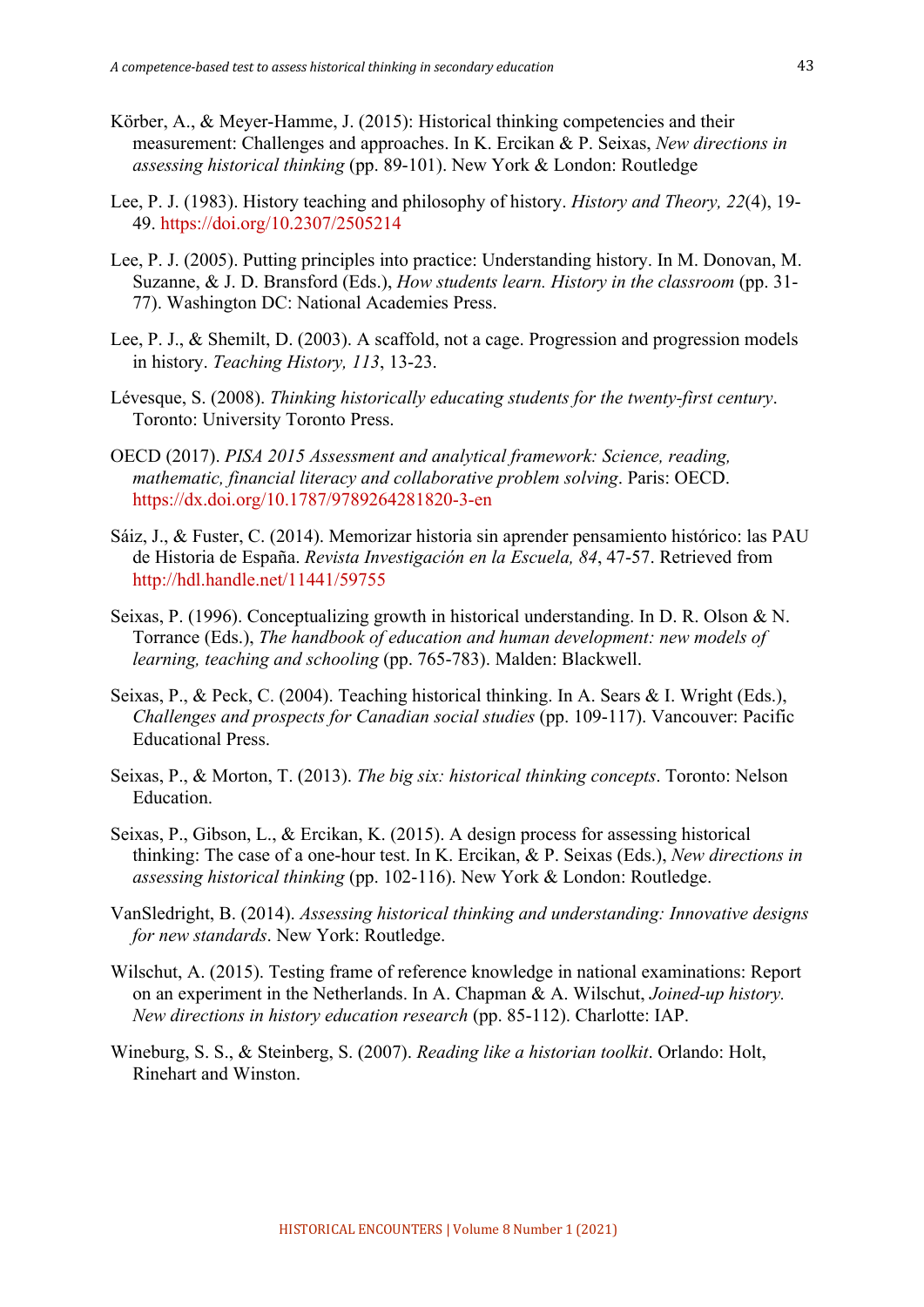- Körber, A., & Meyer-Hamme, J. (2015): Historical thinking competencies and their measurement: Challenges and approaches. In K. Ercikan & P. Seixas, *New directions in assessing historical thinking* (pp. 89-101). New York & London: Routledge
- Lee, P. J. (1983). History teaching and philosophy of history. *History and Theory, 22*(4), 19- 49. https://doi.org/10.2307/2505214
- Lee, P. J. (2005). Putting principles into practice: Understanding history. In M. Donovan, M. Suzanne, & J. D. Bransford (Eds.), *How students learn. History in the classroom* (pp. 31- 77). Washington DC: National Academies Press.
- Lee, P. J., & Shemilt, D. (2003). A scaffold, not a cage. Progression and progression models in history. *Teaching History, 113*, 13-23.
- Lévesque, S. (2008). *Thinking historically educating students for the twenty-first century*. Toronto: University Toronto Press.
- OECD (2017). *PISA 2015 Assessment and analytical framework: Science, reading, mathematic, financial literacy and collaborative problem solving*. Paris: OECD. https://dx.doi.org/10.1787/9789264281820-3-en
- Sáiz, J., & Fuster, C. (2014). Memorizar historia sin aprender pensamiento histórico: las PAU de Historia de España. *Revista Investigación en la Escuela, 84*, 47-57. Retrieved from http://hdl.handle.net/11441/59755
- Seixas, P. (1996). Conceptualizing growth in historical understanding. In D. R. Olson & N. Torrance (Eds.), *The handbook of education and human development: new models of learning, teaching and schooling* (pp. 765-783). Malden: Blackwell.
- Seixas, P., & Peck, C. (2004). Teaching historical thinking. In A. Sears & I. Wright (Eds.), *Challenges and prospects for Canadian social studies* (pp. 109-117). Vancouver: Pacific Educational Press.
- Seixas, P., & Morton, T. (2013). *The big six: historical thinking concepts*. Toronto: Nelson Education.
- Seixas, P., Gibson, L., & Ercikan, K. (2015). A design process for assessing historical thinking: The case of a one-hour test. In K. Ercikan, & P. Seixas (Eds.), *New directions in assessing historical thinking* (pp. 102-116). New York & London: Routledge.
- VanSledright, B. (2014). *Assessing historical thinking and understanding: Innovative designs for new standards*. New York: Routledge.
- Wilschut, A. (2015). Testing frame of reference knowledge in national examinations: Report on an experiment in the Netherlands. In A. Chapman & A. Wilschut, *Joined-up history. New directions in history education research* (pp. 85-112). Charlotte: IAP.
- Wineburg, S. S., & Steinberg, S. (2007). *Reading like a historian toolkit*. Orlando: Holt, Rinehart and Winston.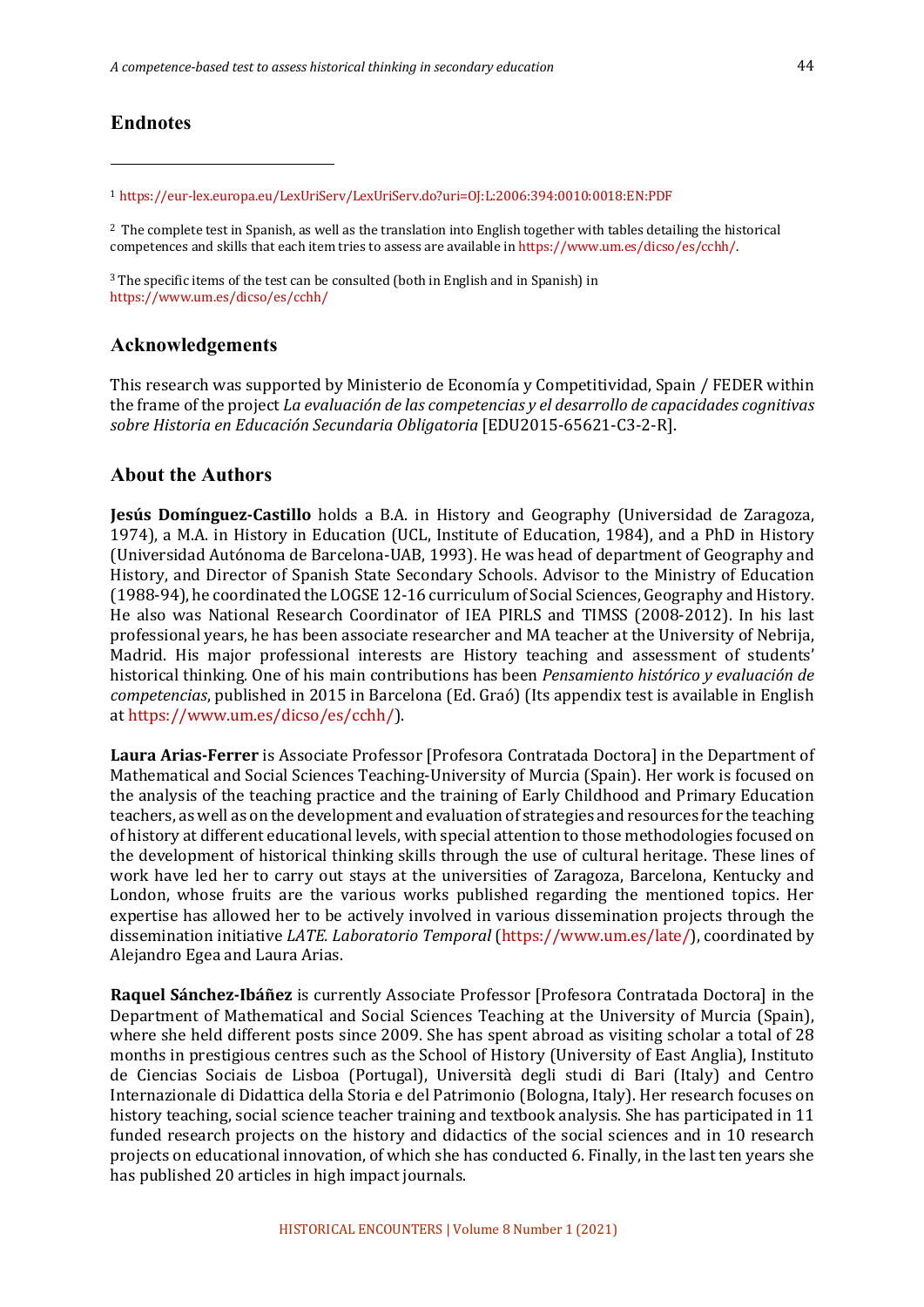# **Endnotes**

<sup>1</sup> https://eur-lex.europa.eu/LexUriServ/LexUriServ.do?uri=OJ:L:2006:394:0010:0018:EN:PDF

 $2$  The complete test in Spanish, as well as the translation into English together with tables detailing the historical competences and skills that each item tries to assess are available in https://www.um.es/dicso/es/cchh/.

 $3$  The specific items of the test can be consulted (both in English and in Spanish) in https://www.um.es/dicso/es/cchh/

#### **Acknowledgements**

This research was supported by Ministerio de Economía y Competitividad, Spain / FEDER within the frame of the project *La evaluación de las competencias y el desarrollo de capacidades cognitivas sobre Historia en Educación Secundaria Obligatoria* [EDU2015-65621-C3-2-R].

#### **About the Authors**

**Jesús Domínguez-Castillo** holds a B.A. in History and Geography (Universidad de Zaragoza, 1974), a M.A. in History in Education (UCL, Institute of Education, 1984), and a PhD in History (Universidad Autónoma de Barcelona-UAB, 1993). He was head of department of Geography and History, and Director of Spanish State Secondary Schools. Advisor to the Ministry of Education (1988-94), he coordinated the LOGSE 12-16 curriculum of Social Sciences, Geography and History. He also was National Research Coordinator of IEA PIRLS and TIMSS (2008-2012). In his last professional years, he has been associate researcher and MA teacher at the University of Nebrija, Madrid. His major professional interests are History teaching and assessment of students' historical thinking. One of his main contributions has been *Pensamiento histórico y evaluación de competencias*, published in 2015 in Barcelona (Ed. Graó) (Its appendix test is available in English at https://www.um.es/dicso/es/cchh/).

Laura Arias-Ferrer is Associate Professor [Profesora Contratada Doctora] in the Department of Mathematical and Social Sciences Teaching-University of Murcia (Spain). Her work is focused on the analysis of the teaching practice and the training of Early Childhood and Primary Education teachers, as well as on the development and evaluation of strategies and resources for the teaching of history at different educational levels, with special attention to those methodologies focused on the development of historical thinking skills through the use of cultural heritage. These lines of work have led her to carry out stays at the universities of Zaragoza, Barcelona, Kentucky and London, whose fruits are the various works published regarding the mentioned topics. Her expertise has allowed her to be actively involved in various dissemination projects through the dissemination initiative *LATE. Laboratorio Temporal* (https://www.um.es/late/), coordinated by Alejandro Egea and Laura Arias.

**Raquel Sánchez-Ibáñez** is currently Associate Professor [Profesora Contratada Doctora] in the Department of Mathematical and Social Sciences Teaching at the University of Murcia (Spain), where she held different posts since 2009. She has spent abroad as visiting scholar a total of 28 months in prestigious centres such as the School of History (University of East Anglia), Instituto de Ciencias Sociais de Lisboa (Portugal), Università degli studi di Bari (Italy) and Centro Internazionale di Didattica della Storia e del Patrimonio (Bologna, Italy). Her research focuses on history teaching, social science teacher training and textbook analysis. She has participated in 11 funded research projects on the history and didactics of the social sciences and in 10 research projects on educational innovation, of which she has conducted 6. Finally, in the last ten years she has published 20 articles in high impact journals.